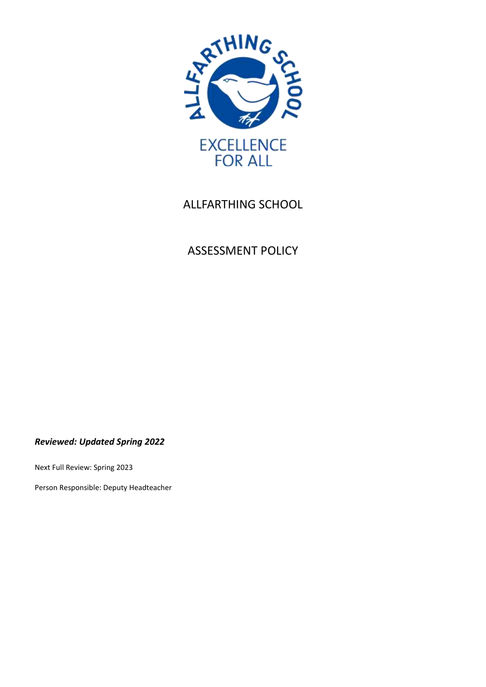

# ALLFARTHING SCHOOL

# ASSESSMENT POLICY

*Reviewed: Updated Spring 2022*

Next Full Review: Spring 2023

Person Responsible: Deputy Headteacher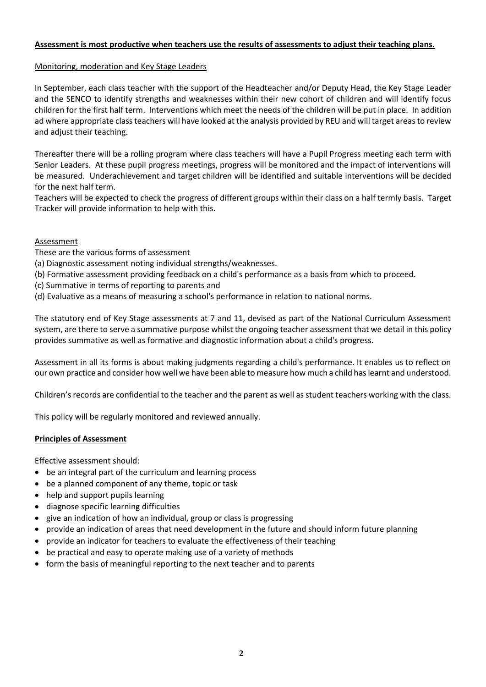# **Assessment is most productive when teachers use the results of assessments to adjust their teaching plans.**

# Monitoring, moderation and Key Stage Leaders

In September, each class teacher with the support of the Headteacher and/or Deputy Head, the Key Stage Leader and the SENCO to identify strengths and weaknesses within their new cohort of children and will identify focus children for the first half term. Interventions which meet the needs of the children will be put in place. In addition ad where appropriate class teachers will have looked at the analysis provided by REU and will target areas to review and adjust their teaching.

Thereafter there will be a rolling program where class teachers will have a Pupil Progress meeting each term with Senior Leaders. At these pupil progress meetings, progress will be monitored and the impact of interventions will be measured. Underachievement and target children will be identified and suitable interventions will be decided for the next half term.

Teachers will be expected to check the progress of different groups within their class on a half termly basis. Target Tracker will provide information to help with this.

# Assessment

- These are the various forms of assessment
- (a) Diagnostic assessment noting individual strengths/weaknesses.
- (b) Formative assessment providing feedback on a child's performance as a basis from which to proceed.
- (c) Summative in terms of reporting to parents and
- (d) Evaluative as a means of measuring a school's performance in relation to national norms.

The statutory end of Key Stage assessments at 7 and 11, devised as part of the National Curriculum Assessment system, are there to serve a summative purpose whilst the ongoing teacher assessment that we detail in this policy provides summative as well as formative and diagnostic information about a child's progress.

Assessment in all its forms is about making judgments regarding a child's performance. It enables us to reflect on our own practice and consider how well we have been able to measure how much a child has learnt and understood.

Children's records are confidential to the teacher and the parent as well as student teachers working with the class.

This policy will be regularly monitored and reviewed annually.

#### **Principles of Assessment**

Effective assessment should:

- be an integral part of the curriculum and learning process
- be a planned component of any theme, topic or task
- help and support pupils learning
- diagnose specific learning difficulties
- give an indication of how an individual, group or class is progressing
- provide an indication of areas that need development in the future and should inform future planning
- provide an indicator for teachers to evaluate the effectiveness of their teaching
- be practical and easy to operate making use of a variety of methods
- form the basis of meaningful reporting to the next teacher and to parents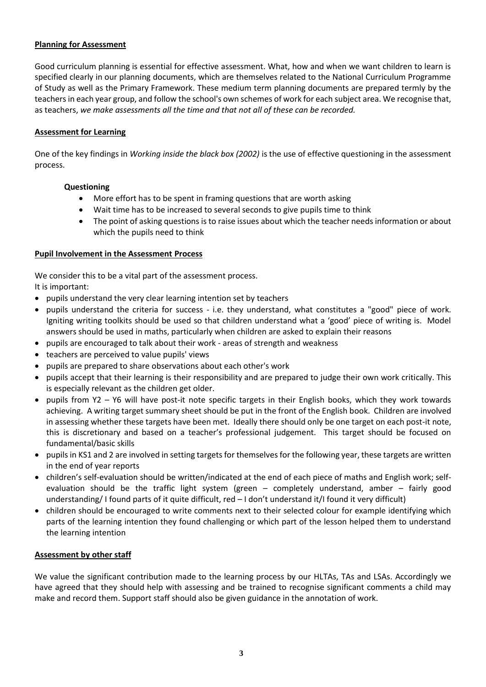# **Planning for Assessment**

Good curriculum planning is essential for effective assessment. What, how and when we want children to learn is specified clearly in our planning documents, which are themselves related to the National Curriculum Programme of Study as well as the Primary Framework. These medium term planning documents are prepared termly by the teachers in each year group, and follow the school's own schemes of work for each subject area. We recognise that, as teachers, *we make assessments all the time and that not all of these can be recorded.*

## **Assessment for Learning**

One of the key findings in *Working inside the black box (2002)* is the use of effective questioning in the assessment process.

#### **Questioning**

- More effort has to be spent in framing questions that are worth asking
- Wait time has to be increased to several seconds to give pupils time to think
- The point of asking questions is to raise issues about which the teacher needs information or about which the pupils need to think

#### **Pupil Involvement in the Assessment Process**

We consider this to be a vital part of the assessment process.

It is important:

- pupils understand the very clear learning intention set by teachers
- pupils understand the criteria for success i.e. they understand, what constitutes a "good" piece of work. Igniting writing toolkits should be used so that children understand what a 'good' piece of writing is. Model answers should be used in maths, particularly when children are asked to explain their reasons
- pupils are encouraged to talk about their work areas of strength and weakness
- teachers are perceived to value pupils' views
- pupils are prepared to share observations about each other's work
- pupils accept that their learning is their responsibility and are prepared to judge their own work critically. This is especially relevant as the children get older.
- pupils from Y2 Y6 will have post-it note specific targets in their English books, which they work towards achieving. A writing target summary sheet should be put in the front of the English book. Children are involved in assessing whether these targets have been met. Ideally there should only be one target on each post-it note, this is discretionary and based on a teacher's professional judgement. This target should be focused on fundamental/basic skills
- pupils in KS1 and 2 are involved in setting targets for themselves for the following year, these targets are written in the end of year reports
- children's self-evaluation should be written/indicated at the end of each piece of maths and English work; selfevaluation should be the traffic light system (green – completely understand, amber – fairly good understanding/ I found parts of it quite difficult, red – I don't understand it/I found it very difficult)
- children should be encouraged to write comments next to their selected colour for example identifying which parts of the learning intention they found challenging or which part of the lesson helped them to understand the learning intention

# **Assessment by other staff**

We value the significant contribution made to the learning process by our HLTAs, TAs and LSAs. Accordingly we have agreed that they should help with assessing and be trained to recognise significant comments a child may make and record them. Support staff should also be given guidance in the annotation of work.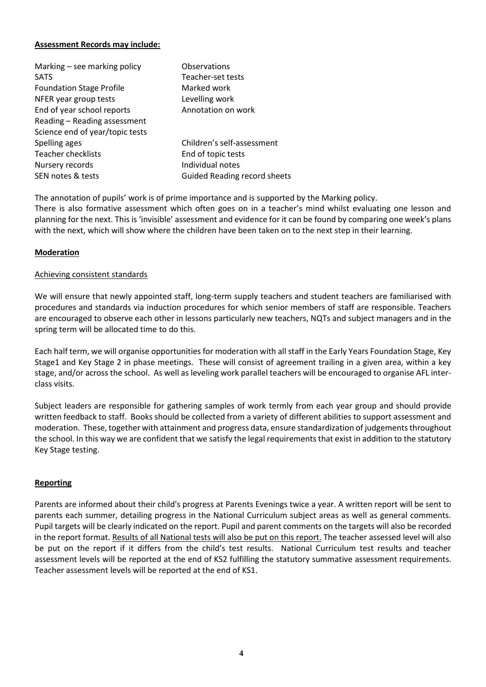## **Assessment Records may include:**

| Marking – see marking policy    | Observations                        |
|---------------------------------|-------------------------------------|
| <b>SATS</b>                     | Teacher-set tests                   |
| <b>Foundation Stage Profile</b> | Marked work                         |
| NFER year group tests           | Levelling work                      |
| End of year school reports      | Annotation on work                  |
| Reading - Reading assessment    |                                     |
| Science end of year/topic tests |                                     |
| Spelling ages                   | Children's self-assessment          |
| <b>Teacher checklists</b>       | End of topic tests                  |
| Nursery records                 | Individual notes                    |
| SEN notes & tests               | <b>Guided Reading record sheets</b> |
|                                 |                                     |

The annotation of pupils' work is of prime importance and is supported by the Marking policy. There is also formative assessment which often goes on in a teacher's mind whilst evaluating one lesson and planning for the next. This is 'invisible' assessment and evidence for it can be found by comparing one week's plans with the next, which will show where the children have been taken on to the next step in their learning.

# **Moderation**

#### Achieving consistent standards

We will ensure that newly appointed staff, long-term supply teachers and student teachers are familiarised with procedures and standards via induction procedures for which senior members of staff are responsible. Teachers are encouraged to observe each other in lessons particularly new teachers, NQTs and subject managers and in the spring term will be allocated time to do this.

Each half term, we will organise opportunities for moderation with all staff in the Early Years Foundation Stage, Key Stage1 and Key Stage 2 in phase meetings. These will consist of agreement trailing in a given area, within a key stage, and/or across the school. As well as leveling work parallel teachers will be encouraged to organise AFL interclass visits.

Subject leaders are responsible for gathering samples of work termly from each year group and should provide written feedback to staff. Books should be collected from a variety of different abilities to support assessment and moderation. These, together with attainment and progress data, ensure standardization of judgementsthroughout the school. In this way we are confident that we satisfy the legal requirements that exist in addition to the statutory Key Stage testing.

#### **Reporting**

Parents are informed about their child's progress at Parents Evenings twice a year. A written report will be sent to parents each summer, detailing progress in the National Curriculum subject areas as well as general comments. Pupil targets will be clearly indicated on the report. Pupil and parent comments on the targets will also be recorded in the report format. Results of all National tests will also be put on this report. The teacher assessed level will also be put on the report if it differs from the child's test results. National Curriculum test results and teacher assessment levels will be reported at the end of KS2 fulfilling the statutory summative assessment requirements. Teacher assessment levels will be reported at the end of KS1.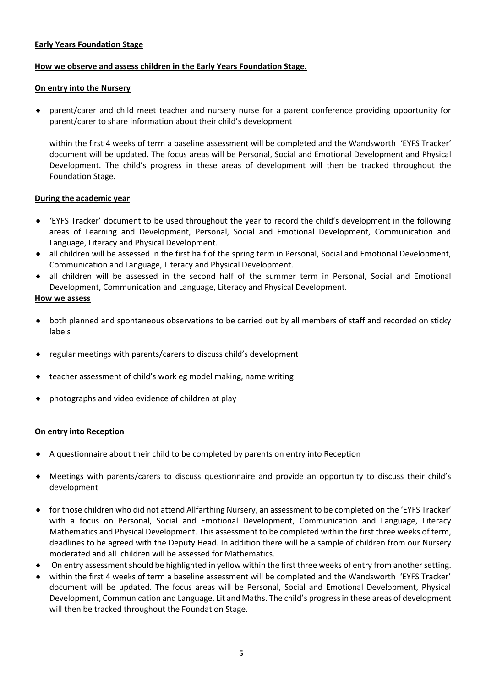# **Early Years Foundation Stage**

## **How we observe and assess children in the Early Years Foundation Stage.**

# **On entry into the Nursery**

 parent/carer and child meet teacher and nursery nurse for a parent conference providing opportunity for parent/carer to share information about their child's development

within the first 4 weeks of term a baseline assessment will be completed and the Wandsworth 'EYFS Tracker' document will be updated. The focus areas will be Personal, Social and Emotional Development and Physical Development. The child's progress in these areas of development will then be tracked throughout the Foundation Stage.

# **During the academic year**

- 'EYFS Tracker' document to be used throughout the year to record the child's development in the following areas of Learning and Development, Personal, Social and Emotional Development, Communication and Language, Literacy and Physical Development.
- all children will be assessed in the first half of the spring term in Personal, Social and Emotional Development, Communication and Language, Literacy and Physical Development.
- all children will be assessed in the second half of the summer term in Personal, Social and Emotional Development, Communication and Language, Literacy and Physical Development.

#### **How we assess**

- both planned and spontaneous observations to be carried out by all members of staff and recorded on sticky labels
- regular meetings with parents/carers to discuss child's development
- teacher assessment of child's work eg model making, name writing
- photographs and video evidence of children at play

#### **On entry into Reception**

- A questionnaire about their child to be completed by parents on entry into Reception
- Meetings with parents/carers to discuss questionnaire and provide an opportunity to discuss their child's development
- for those children who did not attend Allfarthing Nursery, an assessment to be completed on the 'EYFS Tracker' with a focus on Personal, Social and Emotional Development, Communication and Language, Literacy Mathematics and Physical Development. This assessment to be completed within the first three weeks of term, deadlines to be agreed with the Deputy Head. In addition there will be a sample of children from our Nursery moderated and all children will be assessed for Mathematics.
- On entry assessment should be highlighted in yellow within the first three weeks of entry from another setting.
- within the first 4 weeks of term a baseline assessment will be completed and the Wandsworth 'EYFS Tracker' document will be updated. The focus areas will be Personal, Social and Emotional Development, Physical Development, Communication and Language, Lit and Maths. The child's progress in these areas of development will then be tracked throughout the Foundation Stage.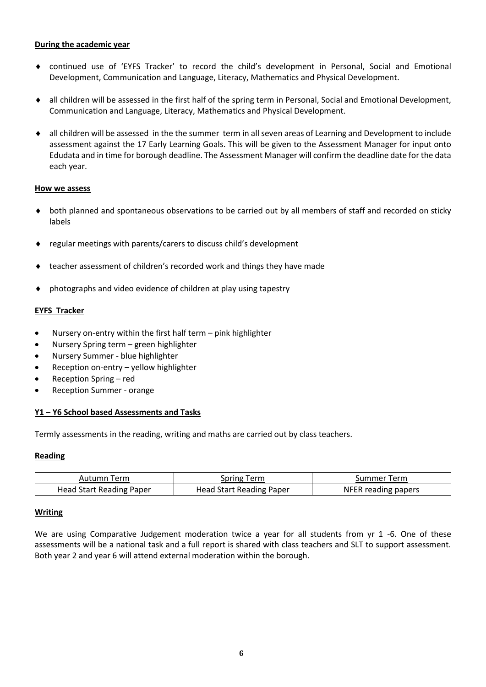## **During the academic year**

- continued use of 'EYFS Tracker' to record the child's development in Personal, Social and Emotional Development, Communication and Language, Literacy, Mathematics and Physical Development.
- all children will be assessed in the first half of the spring term in Personal, Social and Emotional Development, Communication and Language, Literacy, Mathematics and Physical Development.
- all children will be assessed in the the summer term in all seven areas of Learning and Development to include assessment against the 17 Early Learning Goals. This will be given to the Assessment Manager for input onto Edudata and in time for borough deadline. The Assessment Manager will confirm the deadline date for the data each year.

#### **How we assess**

- both planned and spontaneous observations to be carried out by all members of staff and recorded on sticky labels
- regular meetings with parents/carers to discuss child's development
- teacher assessment of children's recorded work and things they have made
- photographs and video evidence of children at play using tapestry

# **EYFS Tracker**

- Nursery on-entry within the first half term pink highlighter
- Nursery Spring term green highlighter
- Nursery Summer blue highlighter
- Reception on-entry yellow highlighter
- Reception Spring red
- Reception Summer orange

# **Y1 – Y6 School based Assessments and Tasks**

Termly assessments in the reading, writing and maths are carried out by class teachers.

# **Reading**

| Term       | inring  | erm           |
|------------|---------|---------------|
| Autumn     | erm     | sum           |
| Head       | Reading | <b>papers</b> |
| tart Readi | Paper   | ΝF            |
| . Paper    | Head    | no            |

# **Writing**

We are using Comparative Judgement moderation twice a year for all students from yr 1 -6. One of these assessments will be a national task and a full report is shared with class teachers and SLT to support assessment. Both year 2 and year 6 will attend external moderation within the borough.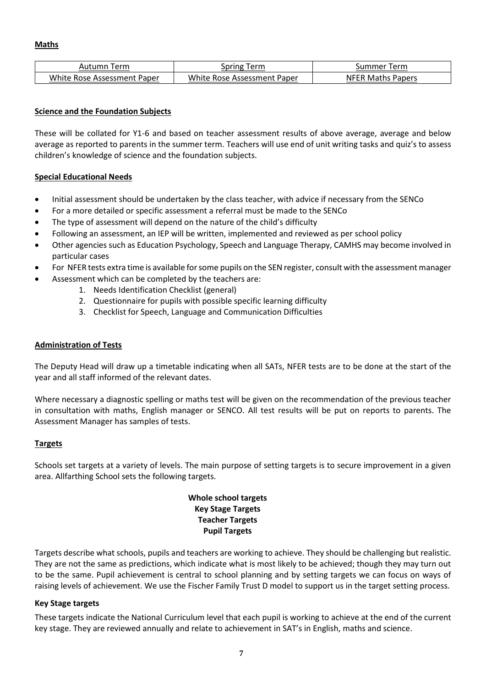| Term                        | .erm                        | erm                      |
|-----------------------------|-----------------------------|--------------------------|
| Autumn                      | spring                      | summer                   |
| White Rose Assessment Paper | White Rose Assessment Paper | <b>NFER Maths Papers</b> |

## **Science and the Foundation Subjects**

These will be collated for Y1-6 and based on teacher assessment results of above average, average and below average as reported to parents in the summer term. Teachers will use end of unit writing tasks and quiz's to assess children's knowledge of science and the foundation subjects.

# **Special Educational Needs**

- Initial assessment should be undertaken by the class teacher, with advice if necessary from the SENCo
- For a more detailed or specific assessment a referral must be made to the SENCo
- The type of assessment will depend on the nature of the child's difficulty
- Following an assessment, an IEP will be written, implemented and reviewed as per school policy
- Other agencies such as Education Psychology, Speech and Language Therapy, CAMHS may become involved in particular cases
- For NFER tests extra time is available for some pupils on the SEN register, consult with the assessment manager
- Assessment which can be completed by the teachers are:
	- 1. Needs Identification Checklist (general)
	- 2. Questionnaire for pupils with possible specific learning difficulty
	- 3. Checklist for Speech, Language and Communication Difficulties

#### **Administration of Tests**

The Deputy Head will draw up a timetable indicating when all SATs, NFER tests are to be done at the start of the year and all staff informed of the relevant dates.

Where necessary a diagnostic spelling or maths test will be given on the recommendation of the previous teacher in consultation with maths, English manager or SENCO. All test results will be put on reports to parents. The Assessment Manager has samples of tests.

#### **Targets**

Schools set targets at a variety of levels. The main purpose of setting targets is to secure improvement in a given area. Allfarthing School sets the following targets.

# **Whole school targets Key Stage Targets Teacher Targets Pupil Targets**

Targets describe what schools, pupils and teachers are working to achieve. They should be challenging but realistic. They are not the same as predictions, which indicate what is most likely to be achieved; though they may turn out to be the same. Pupil achievement is central to school planning and by setting targets we can focus on ways of raising levels of achievement. We use the Fischer Family Trust D model to support us in the target setting process.

#### **Key Stage targets**

These targets indicate the National Curriculum level that each pupil is working to achieve at the end of the current key stage. They are reviewed annually and relate to achievement in SAT's in English, maths and science.